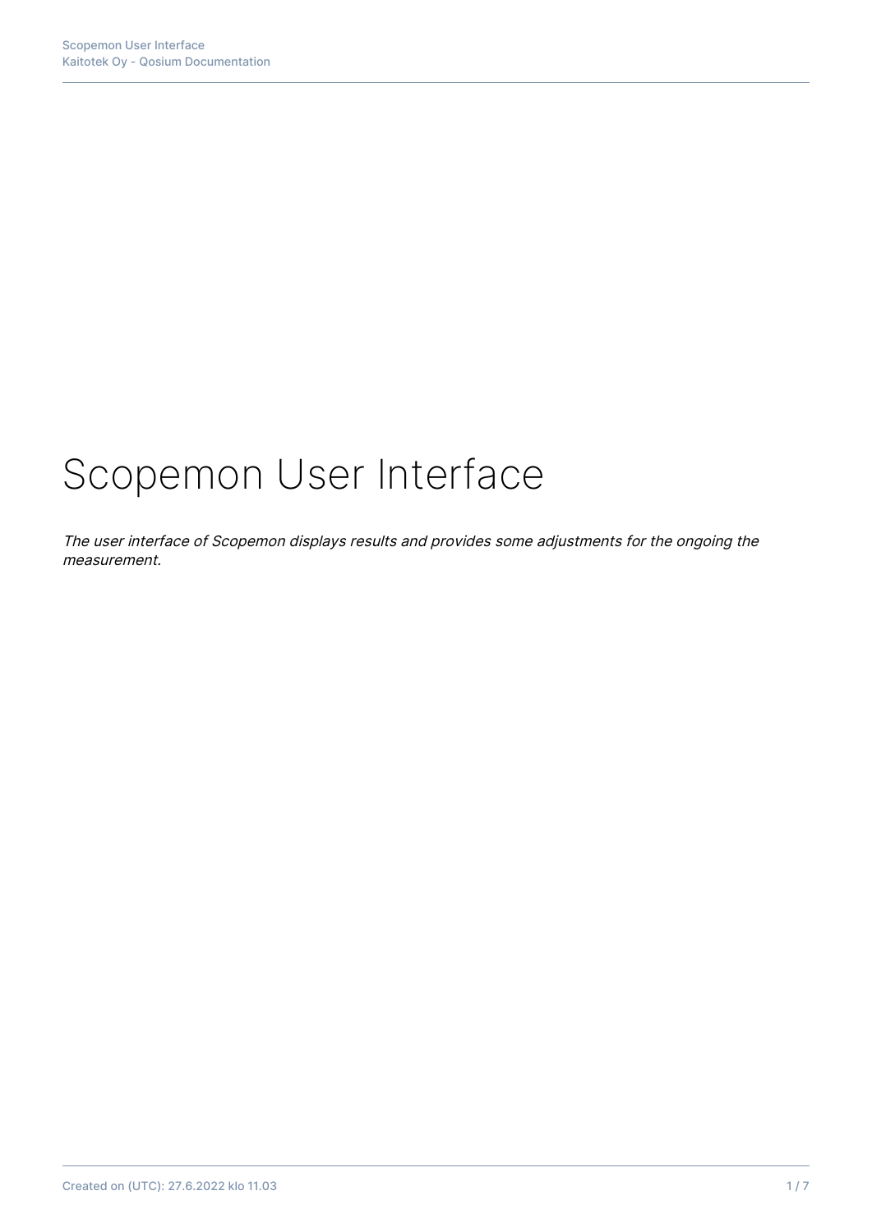# Scopemon User Interface

The user interface of Scopemon displays results and provides some adjustments for the ongoing the measurement.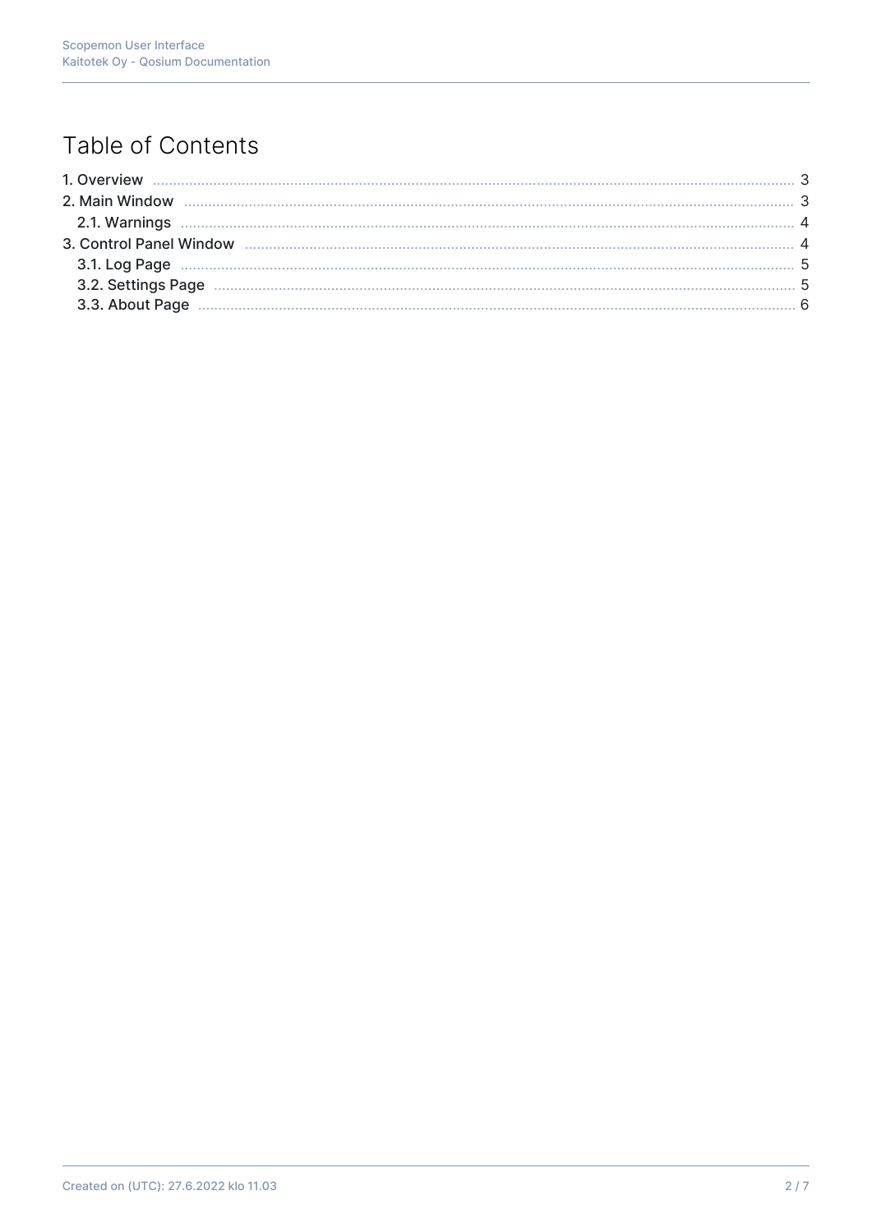# Table of Contents

| 2.1. Warnings <b>Machines</b> 4 |  |
|---------------------------------|--|
|                                 |  |
|                                 |  |
|                                 |  |
|                                 |  |
|                                 |  |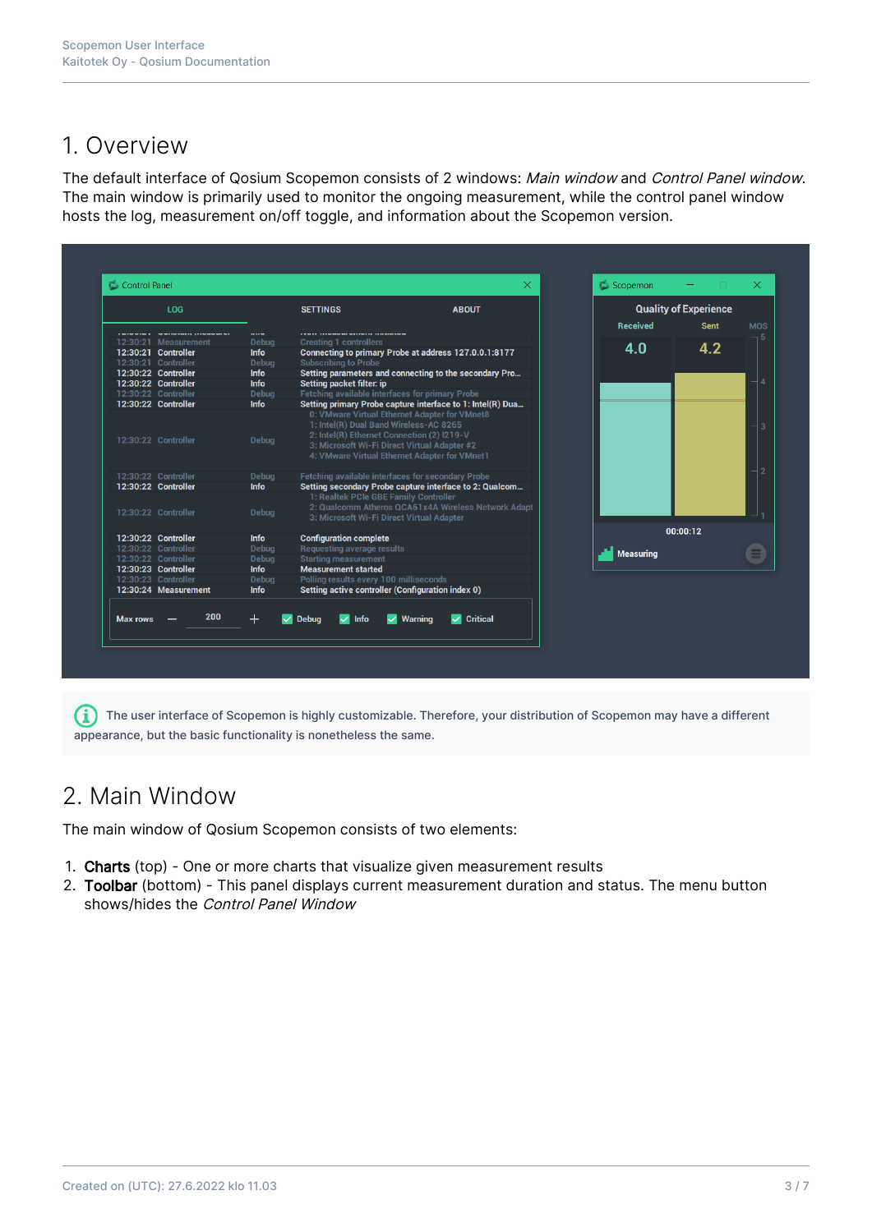## 1. Overview

The default interface of Qosium Scopemon consists of 2 windows: Main window and Control Panel window. The main window is primarily used to monitor the ongoing measurement, while the control panel window hosts the log, measurement on/off toggle, and information about the Scopemon version.

|                 | <b>LOG</b>                             |              | <b>SETTINGS</b>                                                                                                                                                                       | <b>ABOUT</b>                                               |                  | <b>Quality of Experience</b> |            |
|-----------------|----------------------------------------|--------------|---------------------------------------------------------------------------------------------------------------------------------------------------------------------------------------|------------------------------------------------------------|------------------|------------------------------|------------|
|                 | the second space of the second war was |              |                                                                                                                                                                                       |                                                            | <b>Received</b>  | <b>Sent</b>                  | <b>MOS</b> |
|                 | 12:30:21 Measurement                   | <b>Debua</b> | <b>Creating 1 controllers</b>                                                                                                                                                         |                                                            |                  |                              |            |
|                 | 12:30:21 Controller                    | <b>Info</b>  |                                                                                                                                                                                       | Connecting to primary Probe at address 127.0.0.1:8177      | 4.0              | 4.2                          |            |
|                 | 12:30:21 Controller                    | Debug        | <b>Subscribing to Probe</b>                                                                                                                                                           |                                                            |                  |                              |            |
|                 | 12:30:22 Controller                    | <b>Info</b>  |                                                                                                                                                                                       | Setting parameters and connecting to the secondary Pro     |                  |                              |            |
|                 | 12:30:22 Controller                    | <b>Info</b>  | Setting packet filter: ip                                                                                                                                                             |                                                            |                  |                              |            |
|                 | 12:30:22 Controller                    | Debua        | Fetching available interfaces for primary Probe                                                                                                                                       |                                                            |                  |                              |            |
|                 | 12:30:22 Controller                    | <b>Info</b>  | 0: VMware Virtual Ethernet Adapter for VMnet8                                                                                                                                         | Setting primary Probe capture interface to 1: Intel(R) Dua |                  |                              |            |
|                 | 12:30:22 Controller                    | Debug        | 1: Intel(R) Dual Band Wireless-AC 8265<br>2: Intel(R) Ethernet Connection (2) I219-V<br>3: Microsoft Wi-Fi Direct Virtual Adapter #2<br>4: VMware Virtual Ethernet Adapter for VMnet1 |                                                            |                  |                              |            |
|                 | 12:30:22 Controller                    | Debug        | Fetching available interfaces for secondary Probe                                                                                                                                     |                                                            |                  |                              |            |
|                 | 12:30:22 Controller                    | <b>Info</b>  |                                                                                                                                                                                       | Setting secondary Probe capture interface to 2: Qualcom    |                  |                              |            |
|                 | 12:30:22 Controller                    | Debug        | 1: Realtek PCIe GBE Family Controller<br>3: Microsoft Wi-Fi Direct Virtual Adapter                                                                                                    | 2: Qualcomm Atheros QCA61x4A Wireless Network Adapt        |                  |                              |            |
|                 | 12:30:22 Controller                    | <b>Info</b>  | <b>Configuration complete</b>                                                                                                                                                         |                                                            |                  | 00:00:12                     |            |
|                 | 12:30:22 Controller                    | Debua        | Requesting average results                                                                                                                                                            |                                                            |                  |                              |            |
|                 | 12:30:22 Controller                    | Debua        | <b>Starting measurement</b>                                                                                                                                                           |                                                            | <b>Measuring</b> |                              |            |
|                 | 12:30:23 Controller                    | <b>Info</b>  | <b>Measurement started</b>                                                                                                                                                            |                                                            |                  |                              |            |
|                 | 12:30:23 Controller                    | Debug        | Polling results every 100 milliseconds                                                                                                                                                |                                                            |                  |                              |            |
|                 | 12:30:24 Measurement                   | <b>Info</b>  | Setting active controller (Configuration index 0)                                                                                                                                     |                                                            |                  |                              |            |
| <b>Max rows</b> | 200                                    | $^{+}$       | <b>Debug</b><br>$\sqrt{ }$ Info                                                                                                                                                       | <b>Critical</b><br>$\vee$ Warning<br>◡                     |                  |                              |            |

 $\bullet$  The user interface of Scopemon is highly customizable. Therefore, your distribution of Scopemon may have a different appearance, but the basic functionality is nonetheless the same.

## 2. Main Window

The main window of Qosium Scopemon consists of two elements:

- 1. Charts (top) One or more charts that visualize given measurement results
- 2. Toolbar (bottom) This panel displays current measurement duration and status. The menu button shows/hides the Control Panel Window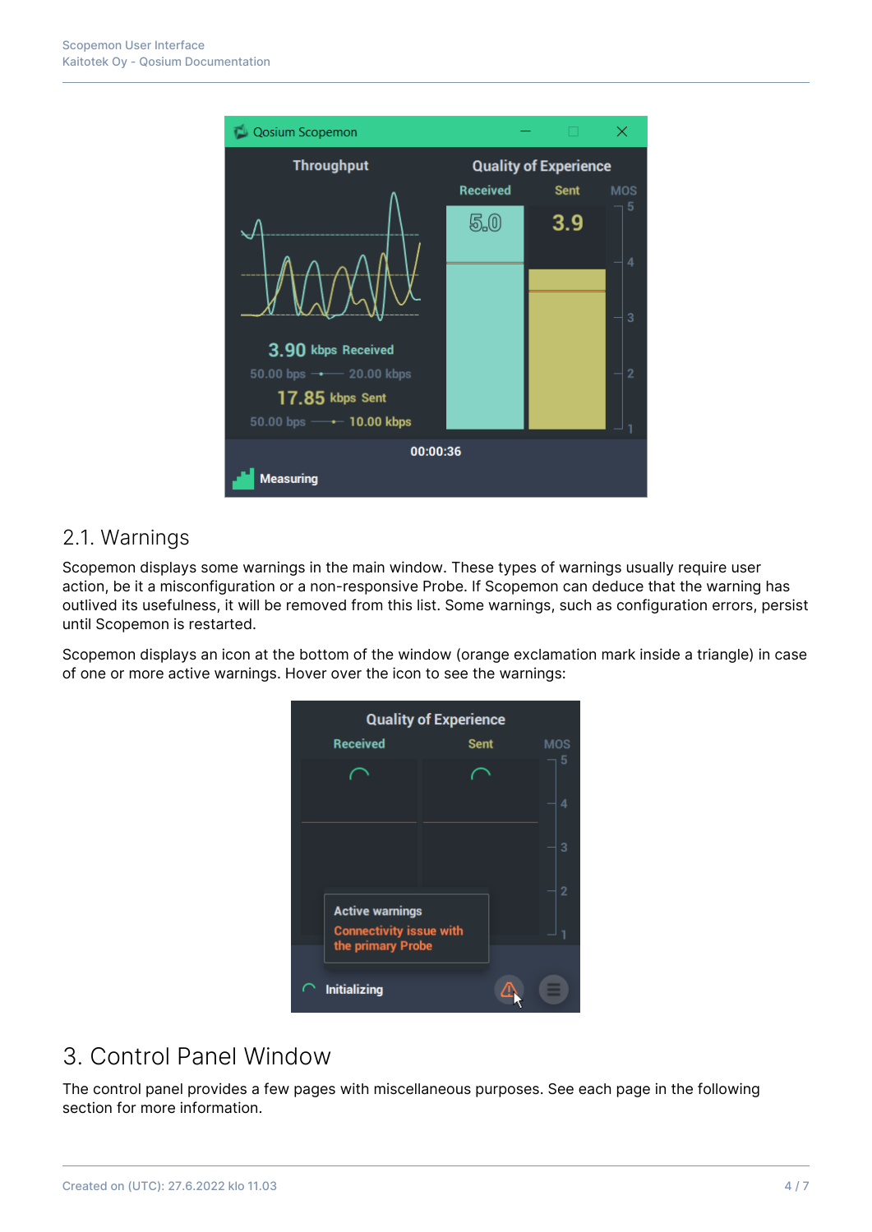

#### 2.1. Warnings

Scopemon displays some warnings in the main window. These types of warnings usually require user action, be it a misconfiguration or a non-responsive Probe. If Scopemon can deduce that the warning has outlived its usefulness, it will be removed from this list. Some warnings, such as configuration errors, persist until Scopemon is restarted.

Scopemon displays an icon at the bottom of the window (orange exclamation mark inside a triangle) in case of one or more active warnings. Hover over the icon to see the warnings:

|                                                     | <b>Quality of Experience</b> |            |
|-----------------------------------------------------|------------------------------|------------|
| <b>Received</b>                                     | <b>Sent</b>                  | <b>MOS</b> |
|                                                     |                              | 5          |
|                                                     |                              | 4          |
|                                                     |                              | 3          |
| <b>Active warnings</b>                              |                              | 2          |
| <b>Connectivity issue with</b><br>the primary Probe |                              |            |
| <b>Initializing</b>                                 |                              |            |

# 3. Control Panel Window

The control panel provides a few pages with miscellaneous purposes. See each page in the following section for more information.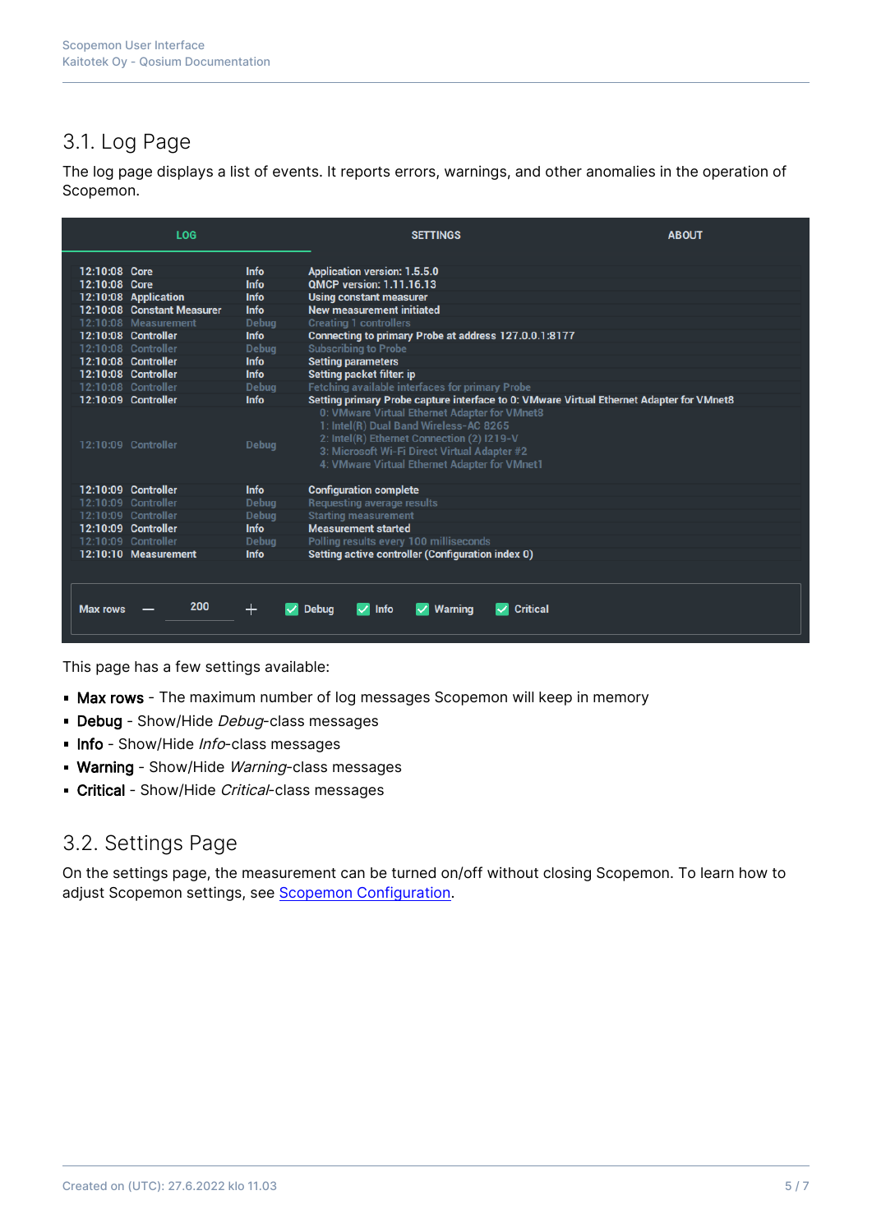## 3.1. Log Page

The log page displays a list of events. It reports errors, warnings, and other anomalies in the operation of Scopemon.

|                     | <b>LOG</b>                 |              | <b>SETTINGS</b>                                                                                                                                                                                                                        | <b>ABOUT</b> |  |  |  |  |
|---------------------|----------------------------|--------------|----------------------------------------------------------------------------------------------------------------------------------------------------------------------------------------------------------------------------------------|--------------|--|--|--|--|
| 12:10:08 Core       |                            | <b>Info</b>  | <b>Application version: 1.5.5.0</b>                                                                                                                                                                                                    |              |  |  |  |  |
| 12:10:08 Core       |                            | <b>Info</b>  | <b>OMCP version: 1.11.16.13</b>                                                                                                                                                                                                        |              |  |  |  |  |
|                     | 12:10:08 Application       | <b>Info</b>  | <b>Using constant measurer</b>                                                                                                                                                                                                         |              |  |  |  |  |
|                     | 12:10:08 Constant Measurer | Info         | <b>New measurement initiated</b>                                                                                                                                                                                                       |              |  |  |  |  |
|                     | 12:10:08 Measurement       | <b>Debug</b> | <b>Creating 1 controllers</b>                                                                                                                                                                                                          |              |  |  |  |  |
|                     | 12:10:08 Controller        | <b>Info</b>  | Connecting to primary Probe at address 127.0.0.1:8177                                                                                                                                                                                  |              |  |  |  |  |
|                     | 12:10:08 Controller        | <b>Debua</b> | <b>Subscribing to Probe</b>                                                                                                                                                                                                            |              |  |  |  |  |
|                     | 12:10:08 Controller        | <b>Info</b>  | <b>Setting parameters</b>                                                                                                                                                                                                              |              |  |  |  |  |
|                     | 12:10:08 Controller        | <b>Info</b>  | <b>Setting packet filter: ip</b>                                                                                                                                                                                                       |              |  |  |  |  |
|                     | 12:10:08 Controller        | <b>Debug</b> | <b>Fetching available interfaces for primary Probe</b>                                                                                                                                                                                 |              |  |  |  |  |
|                     | 12:10:09 Controller        | <b>Info</b>  | Setting primary Probe capture interface to 0: VMware Virtual Ethernet Adapter for VMnet8                                                                                                                                               |              |  |  |  |  |
| 12:10:09 Controller |                            | Debug        | 0: VMware Virtual Ethernet Adapter for VMnet8<br>1: Intel(R) Dual Band Wireless-AC 8265<br>2: Intel(R) Ethernet Connection (2) I219-V<br>3: Microsoft Wi-Fi Direct Virtual Adapter #2<br>4: VMware Virtual Ethernet Adapter for VMnet1 |              |  |  |  |  |
|                     | 12:10:09 Controller        | <b>Info</b>  | <b>Configuration complete</b>                                                                                                                                                                                                          |              |  |  |  |  |
|                     | 12:10:09 Controller        | Debug        | <b>Requesting average results</b>                                                                                                                                                                                                      |              |  |  |  |  |
|                     | 12:10:09 Controller        | <b>Debug</b> | <b>Starting measurement</b>                                                                                                                                                                                                            |              |  |  |  |  |
|                     | 12:10:09 Controller        | <b>Info</b>  | <b>Measurement started</b>                                                                                                                                                                                                             |              |  |  |  |  |
| 12:10:09 Controller |                            | <b>Debug</b> | Polling results every 100 milliseconds                                                                                                                                                                                                 |              |  |  |  |  |
|                     | 12:10:10 Measurement       | <b>Info</b>  | Setting active controller (Configuration index 0)                                                                                                                                                                                      |              |  |  |  |  |
| <b>Max rows</b>     | 200                        | $\pm$        | <b>Critical</b><br><b>Info</b><br><b>Debua</b><br>◡<br><b>Warning</b>                                                                                                                                                                  |              |  |  |  |  |
|                     |                            |              |                                                                                                                                                                                                                                        |              |  |  |  |  |

This page has a few settings available:

- **Max rows** The maximum number of log messages Scopemon will keep in memory
- Debug Show/Hide Debug-class messages
- Info Show/Hide Info-class messages
- **Warning** Show/Hide Warning-class messages
- Critical Show/Hide Critical-class messages

#### 3.2. Settings Page

On the settings page, the measurement can be turned on/off without closing Scopemon. To learn how to adjust Scopemon settings, see [Scopemon Configuration.](https://kaitotek.com/fi/resources/documentation/scopemon/configuration)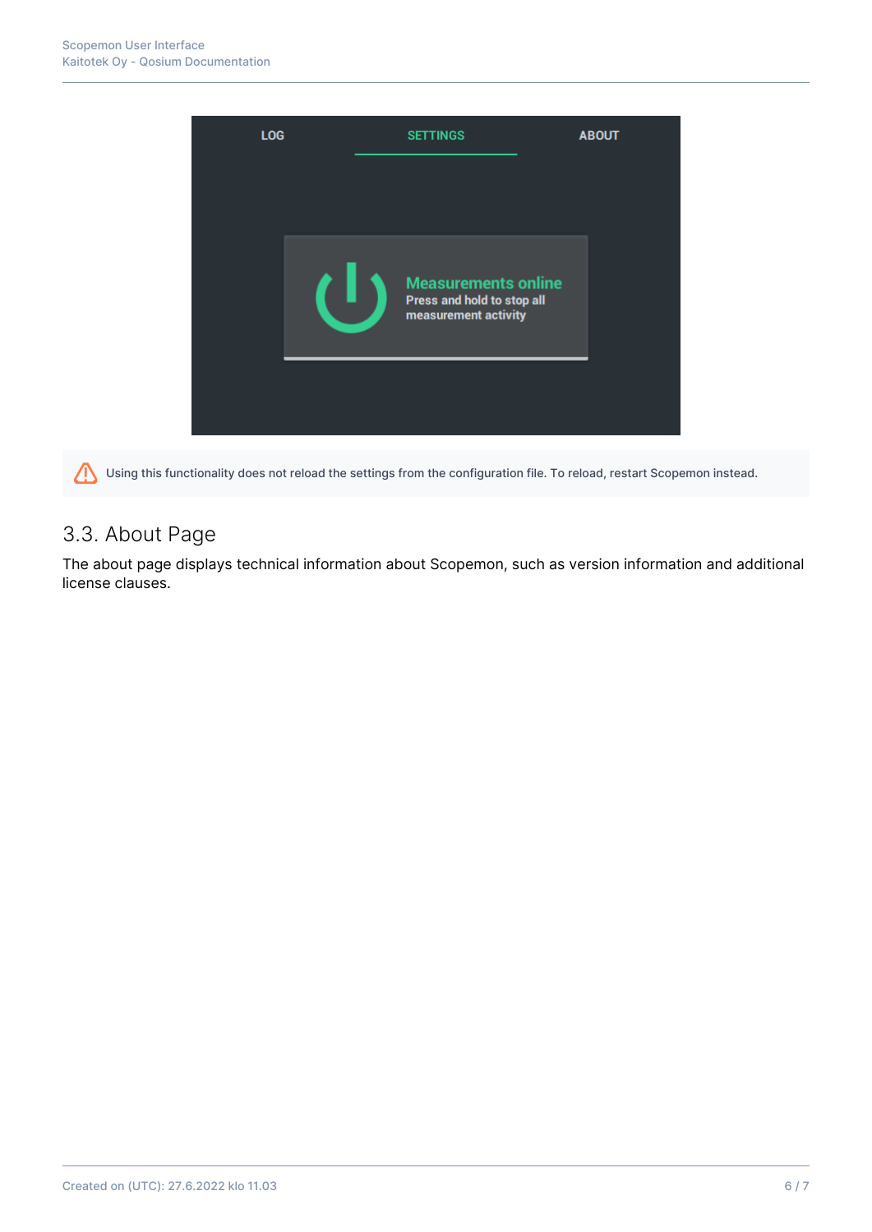

Using this functionality does not reload the settings from the configuration file. To reload, restart Scopemon instead. 7

## 3.3. About Page

The about page displays technical information about Scopemon, such as version information and additional license clauses.